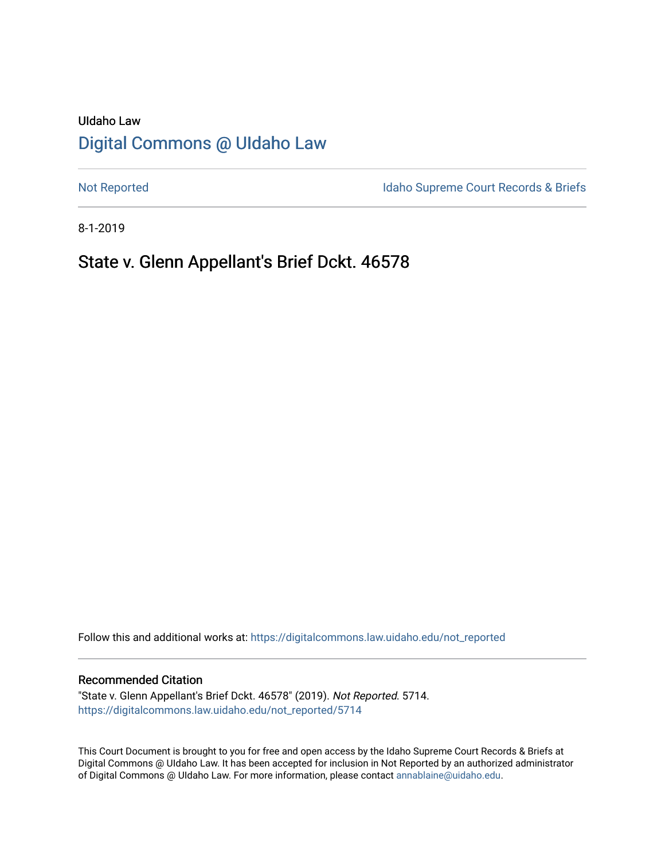# UIdaho Law [Digital Commons @ UIdaho Law](https://digitalcommons.law.uidaho.edu/)

[Not Reported](https://digitalcommons.law.uidaho.edu/not_reported) **Idaho Supreme Court Records & Briefs** 

8-1-2019

# State v. Glenn Appellant's Brief Dckt. 46578

Follow this and additional works at: [https://digitalcommons.law.uidaho.edu/not\\_reported](https://digitalcommons.law.uidaho.edu/not_reported?utm_source=digitalcommons.law.uidaho.edu%2Fnot_reported%2F5714&utm_medium=PDF&utm_campaign=PDFCoverPages) 

#### Recommended Citation

"State v. Glenn Appellant's Brief Dckt. 46578" (2019). Not Reported. 5714. [https://digitalcommons.law.uidaho.edu/not\\_reported/5714](https://digitalcommons.law.uidaho.edu/not_reported/5714?utm_source=digitalcommons.law.uidaho.edu%2Fnot_reported%2F5714&utm_medium=PDF&utm_campaign=PDFCoverPages)

This Court Document is brought to you for free and open access by the Idaho Supreme Court Records & Briefs at Digital Commons @ UIdaho Law. It has been accepted for inclusion in Not Reported by an authorized administrator of Digital Commons @ UIdaho Law. For more information, please contact [annablaine@uidaho.edu](mailto:annablaine@uidaho.edu).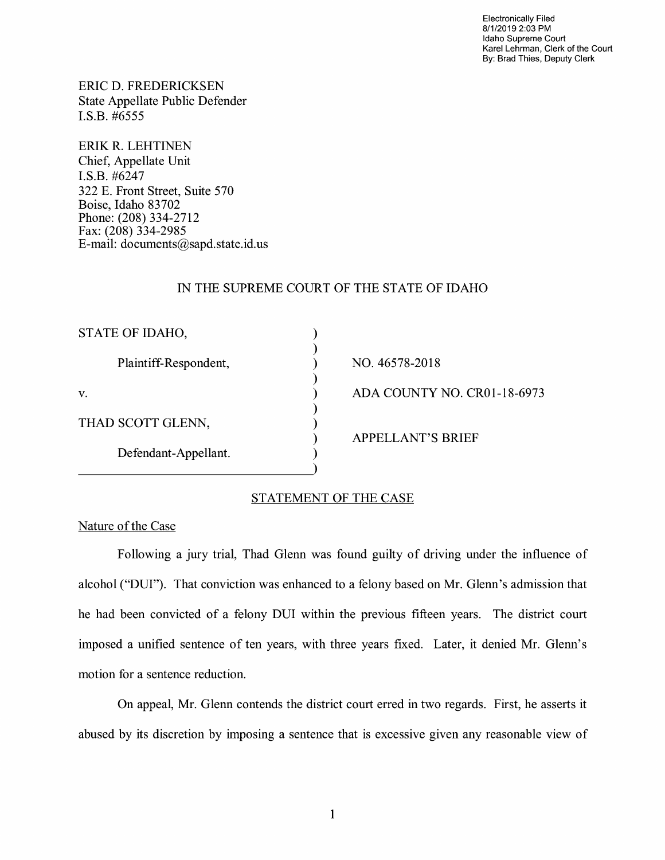Electronically Filed 8/1/2019 2:03 PM Idaho Supreme Court Karel Lehrman, Clerk of the Court By: Brad Thies, Deputy Clerk

ERIC D. FREDERICKSEN State Appellate Public Defender I.S.B. #6555

ERIK R. LEHTINEN Chief, Appellate Unit I.S.B. #6247 322 E. Front Street, Suite 570 Boise, Idaho 83702 Phone: (208) 334-2712 Fax: (208) 334-2985 E-mail: documents@sapd.state.id. us

#### IN THE SUPREME COURT OF THE STATE OF IDAHO

) ) ) ) ) ) ) ) )

| STATE OF IDAHO, |                       |
|-----------------|-----------------------|
|                 | Plaintiff-Respondent, |
| V.              |                       |
|                 | THAD SCOTT GLENN,     |
|                 | Defendant-Appellant.  |

NO. 46578-2018 ADA COUNTY NO. CR0l-18-6973 APPELLANT'S BRIEF

## STATEMENT OF THE CASE

#### Nature of the Case

Following a jury trial, Thad Glenn was found guilty of driving under the influence of alcohol ("DUI"). That conviction was enhanced to a felony based on Mr. Glenn's admission that he had been convicted of a felony DUI within the previous fifteen years. The district court imposed a unified sentence of ten years, with three years fixed. Later, it denied Mr. Glenn's motion for a sentence reduction.

On appeal, Mr. Glenn contends the district court erred in two regards. First, he asserts it abused by its discretion by imposing a sentence that is excessive given any reasonable view of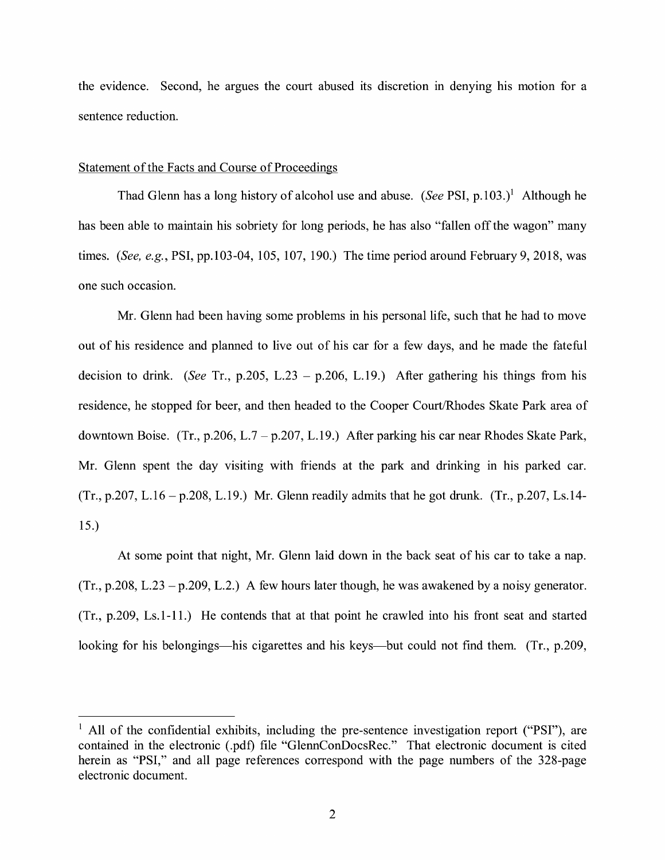the evidence. Second, he argues the court abused its discretion in denying his motion for a sentence reduction.

#### Statement of the Facts and Course of Proceedings

Thad Glenn has a long history of alcohol use and abuse. *(See PSI, p.103.)*<sup>1</sup> Although he has been able to maintain his sobriety for long periods, he has also "fallen off the wagon" many times. *(See, e.g.,* PSI, pp.103-04, 105, 107, 190.) The time period around February 9, 2018, was one such occasion.

Mr. Glenn had been having some problems in his personal life, such that he had to move out of his residence and planned to live out of his car for a few days, and he made the fateful decision to drink. *(See* Tr., p.205, L.23 - p.206, L.19.) After gathering his things from his residence, he stopped for beer, and then headed to the Cooper Court/Rhodes Skate Park area of downtown Boise. (Tr., p.206, L.7 - p.207, L.19.) After parking his car near Rhodes Skate Park, Mr. Glenn spent the day visiting with friends at the park and drinking in his parked car. (Tr., p.207, L.16 – p.208, L.19.) Mr. Glenn readily admits that he got drunk. (Tr., p.207, Ls.14-15.)

At some point that night, Mr. Glenn laid down in the back seat of his car to take a nap.  $(Tr, p.208, L.23 - p.209, L.2.)$  A few hours later though, he was awakened by a noisy generator. (Tr., p.209, Ls.1-11.) He contends that at that point he crawled into his front seat and started looking for his belongings—his cigarettes and his keys—but could not find them. (Tr., p.209,

<sup>&</sup>lt;sup>1</sup> All of the confidential exhibits, including the pre-sentence investigation report ("PSI"), are contained in the electronic (.pdf) file "GlennConDocsRec." That electronic document is cited herein as "PSI," and all page references correspond with the page numbers of the 328-page electronic document.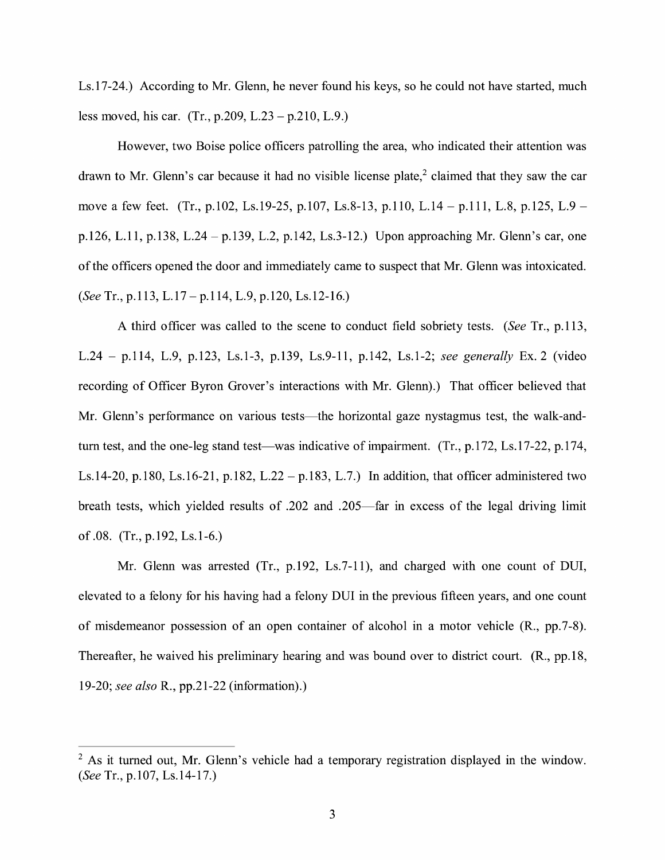Ls.17-24.) According to Mr. Glenn, he never found his keys, so he could not have started, much less moved, his car. (Tr., p.209, L.23 - p.210, L.9.)

However, two Boise police officers patrolling the area, who indicated their attention was drawn to Mr. Glenn's car because it had no visible license plate, $2$  claimed that they saw the car move a few feet. (Tr., p.102, Ls.19-25, p.107, Ls.8-13, p.110, L.14 – p.111, L.8, p.125, L.9 – p.126, L.11, p.138, L.24 - p.139, L.2, p.142, Ls.3-12.) Upon approaching Mr. Glenn's car, one of the officers opened the door and immediately came to suspect that Mr. Glenn was intoxicated. *(See* Tr., p.113, L.17 - p.114, L.9, p.120, Ls.12-16.)

A third officer was called to the scene to conduct field sobriety tests. *(See* Tr., p.113, L.24 - p.114, L.9, p.123, Ls.1-3, p.139, Ls.9-11, p.142, Ls.1-2; *see generally* Ex. 2 (video recording of Officer Byron Grover's interactions with Mr. Glenn).) That officer believed that Mr. Glenn's performance on various tests—the horizontal gaze nystagmus test, the walk-andturn test, and the one-leg stand test—was indicative of impairment. (Tr., p.172, Ls.17-22, p.174, Ls.14-20, p.180, Ls.16-21, p.182, L.22 - p.183, L.7.) In addition, that officer administered two breath tests, which yielded results of .202 and .205-far in excess of the legal driving limit of .08. (Tr., p.192, Ls.1-6.)

Mr. Glenn was arrested (Tr., p.192, Ls.7-11), and charged with one count of DUI, elevated to a felony for his having had a felony DUI in the previous fifteen years, and one count of misdemeanor possession of an open container of alcohol in a motor vehicle **(R.,** pp. 7-8). Thereafter, he waived his preliminary hearing and was bound over to district court. (R., pp.18, 19-20; *see also* R., pp.21-22 (information).)

<sup>&</sup>lt;sup>2</sup> As it turned out, Mr. Glenn's vehicle had a temporary registration displayed in the window. *(See* Tr., p.107, Ls.14-17.)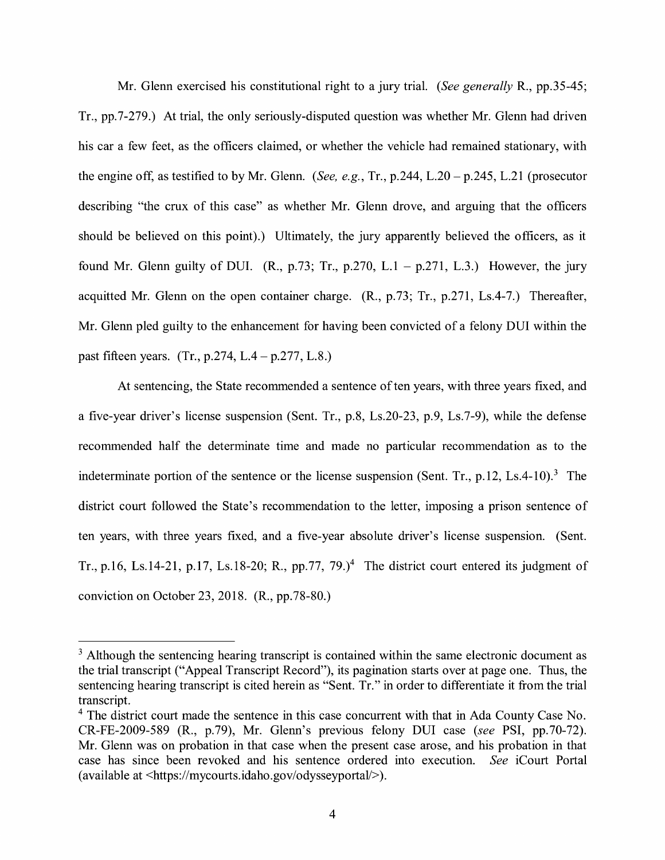Mr. Glenn exercised his constitutional right to a jury trial. *(See generally* R., pp.35-45; Tr., pp.7-279.) At trial, the only seriously-disputed question was whether Mr. Glenn had driven his car a few feet, as the officers claimed, or whether the vehicle had remained stationary, with the engine off, as testified to by Mr. Glenn. *(See, e.g.,* Tr., p.244, L.20 - p.245, L.21 (prosecutor describing "the crux of this case" as whether Mr. Glenn drove, and arguing that the officers should be believed on this point).) Ultimately, the jury apparently believed the officers, as it found Mr. Glenn guilty of DUI. **(R.,** p.73; Tr., p.270, L.1 - p.271, L.3.) However, the jury acquitted Mr. Glenn on the open container charge. (R., p.73; Tr., p.271, Ls.4-7.) Thereafter, Mr. Glenn pled guilty to the enhancement for having been convicted of a felony DUI within the past fifteen years. (Tr., p.274, L.4- p.277, L.8.)

At sentencing, the State recommended a sentence of ten years, with three years fixed, and a five-year driver's license suspension (Sent. Tr., p.8, Ls.20-23, p.9, Ls.7-9), while the defense recommended half the determinate time and made no particular recommendation as to the indeterminate portion of the sentence or the license suspension (Sent. Tr., p.12, Ls.4-10).<sup>3</sup> The district court followed the State's recommendation to the letter, imposing a prison sentence of ten years, with three years fixed, and a five-year absolute driver's license suspension. (Sent. Tr., p.16, Ls.14-21, p.17, Ls.18-20; R., pp.77, 79.)<sup>4</sup> The district court entered its judgment of conviction on October 23, 2018. (R., pp.78-80.)

<sup>&</sup>lt;sup>3</sup> Although the sentencing hearing transcript is contained within the same electronic document as the trial transcript ("Appeal Transcript Record"), its pagination starts over at page one. Thus, the sentencing hearing transcript is cited herein as "Sent. Tr." in order to differentiate it from the trial transcript.

<sup>&</sup>lt;sup>4</sup> The district court made the sentence in this case concurrent with that in Ada County Case No. CR-FE-2009-589 (R., p.79), Mr. Glenn's previous felony DUI case *(see* PSI, pp.70-72). Mr. Glenn was on probation in that case when the present case arose, and his probation in that case has since been revoked and his sentence ordered into execution. *See* iCourt Portal ( available at <https://mycourts.idaho.gov/odysseyportal/> ).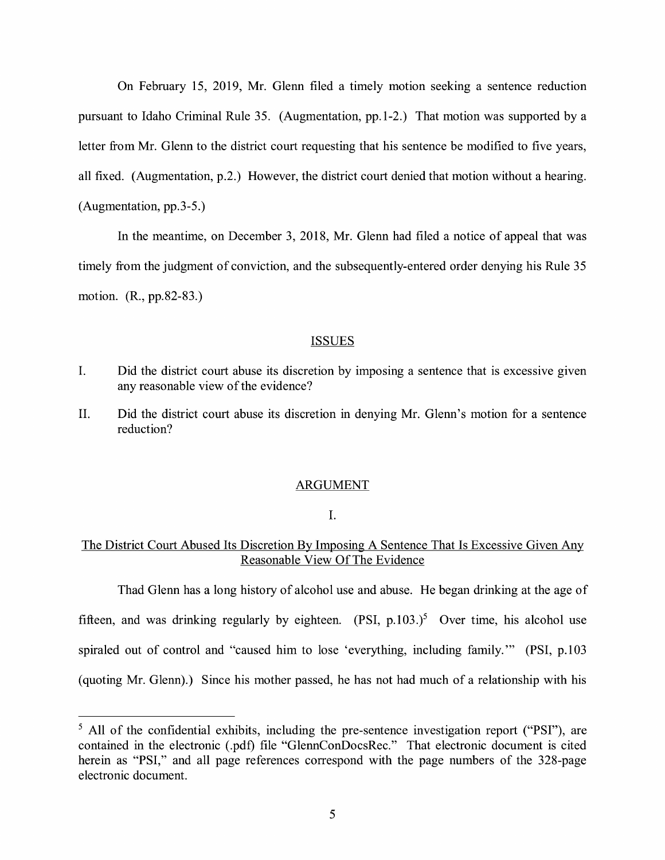On February 15, 2019, Mr. Glenn filed a timely motion seeking a sentence reduction pursuant to Idaho Criminal Rule 35. (Augmentation, pp.1-2.) That motion was supported by a letter from Mr. Glenn to the district court requesting that his sentence be modified to five years, all fixed. (Augmentation, p.2.) However, the district court denied that motion without a hearing. (Augmentation, pp.3-5.)

In the meantime, on December 3, 2018, Mr. Glenn had filed a notice of appeal that was timely from the judgment of conviction, and the subsequently-entered order denying his Rule 35 motion. (R., pp.82-83.)

#### **ISSUES**

- I. Did the district court abuse its discretion by imposing a sentence that is excessive given any reasonable view of the evidence?
- II. Did the district court abuse its discretion in denying Mr. Glenn's motion for a sentence reduction?

#### ARGUMENT

I.

### The District Court Abused Its Discretion By Imposing A Sentence That Is Excessive Given Any Reasonable View Of The Evidence

Thad Glenn has a long history of alcohol use and abuse. He began drinking at the age of fifteen, and was drinking regularly by eighteen.  $(PSI, p.103.)^5$  Over time, his alcohol use spiraled out of control and "caused him to lose 'everything, including family.'" (PSI, p.103 (quoting Mr. Glenn).) Since his mother passed, he has not had much of a relationship with his

<sup>&</sup>lt;sup>5</sup> All of the confidential exhibits, including the pre-sentence investigation report ("PSI"), are contained in the electronic (.pdf) file "GlennConDocsRec." That electronic document is cited herein as "PSI," and all page references correspond with the page numbers of the 328-page electronic document.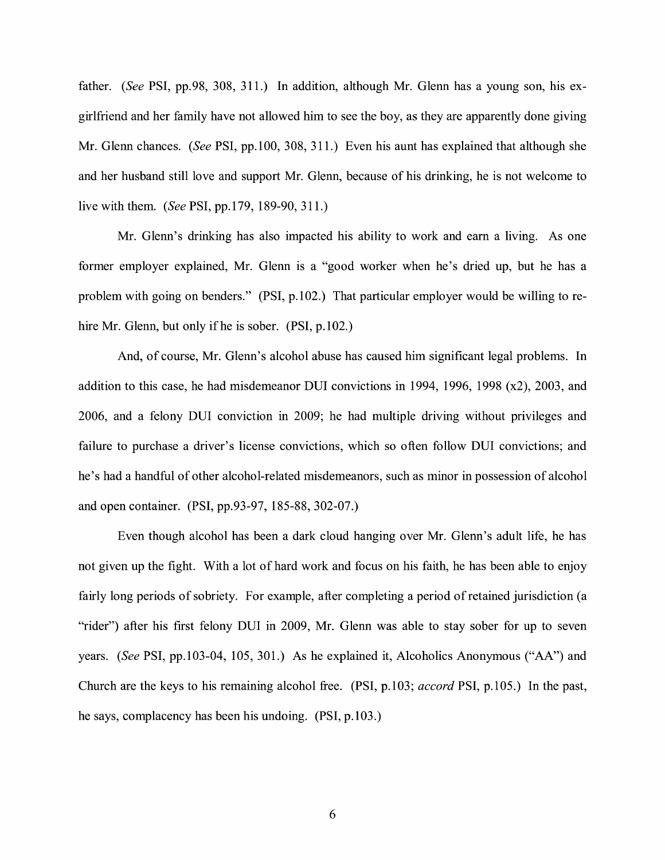father. *(See* PSI, pp.98, 308, 311.) In addition, although Mr. Glenn has a young son, his exgirlfriend and her family have not allowed him to see the boy, as they are apparently done giving Mr. Glenn chances. *(See* PSI, pp.100, 308, 311.) Even his aunt has explained that although she and her husband still love and support Mr. Glenn, because of his drinking, he is not welcome to live with them. *(See* PSI, pp.179, 189-90, 311.)

Mr. Glenn's drinking has also impacted his ability to work and earn a living. As one former employer explained, Mr. Glenn is a "good worker when he's dried up, but he has a problem with going on benders." (PSI, p.102.) That particular employer would be willing to rehire Mr. Glenn, but only if he is sober. (PSI, p.102.)

And, of course, Mr. Glenn's alcohol abuse has caused him significant legal problems. In addition to this case, he had misdemeanor DUI convictions in 1994, 1996, 1998 (x2), 2003, and 2006, and a felony DUI conviction in 2009; he had multiple driving without privileges and failure to purchase a driver's license convictions, which so often follow DUI convictions; and he's had a handful of other alcohol-related misdemeanors, such as minor in possession of alcohol and open container. (PSI, pp.93-97, 185-88, 302-07.)

Even though alcohol has been a dark cloud hanging over Mr. Glenn's adult life, he has not given up the fight. With a lot of hard work and focus on his faith, he has been able to enjoy fairly long periods of sobriety. For example, after completing a period of retained jurisdiction (a "rider") after his first felony DUI in 2009, Mr. Glenn was able to stay sober for up to seven years. *(See* PSI, pp.103-04, 105, 301.) As he explained it, Alcoholics Anonymous ("AA") and Church are the keys to his remaining alcohol free. (PSI, p.103; *accord* PSI, p.105.) In the past, he says, complacency has been his undoing. (PSI, p.103.)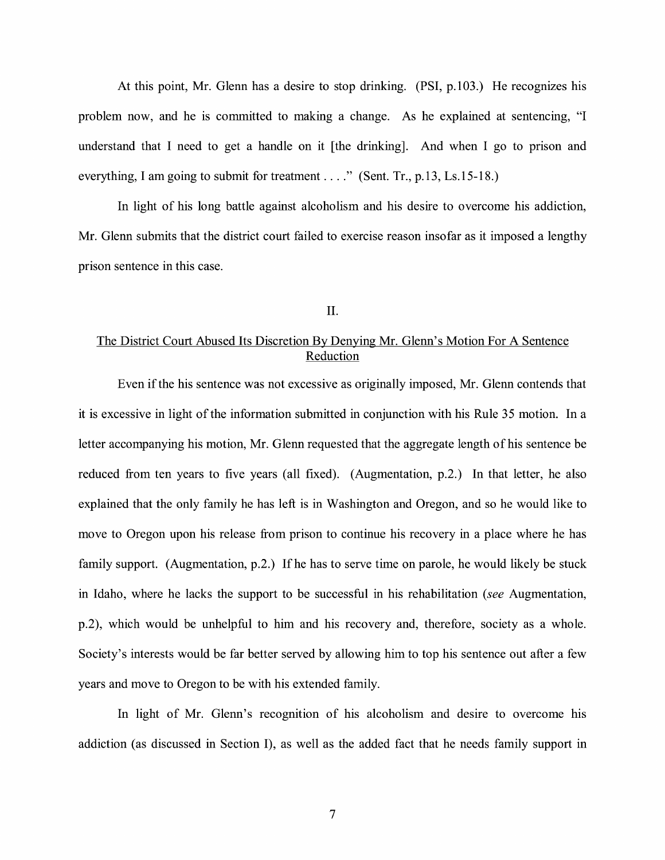At this point, Mr. Glenn has a desire to stop drinking. (PSI, p.103.) He recognizes his problem now, and he is committed to making a change. As he explained at sentencing, "I understand that I need to get a handle on it [ the drinking]. And when I go to prison and everything, I am going to submit for treatment . . . ." (Sent. Tr., p.13, Ls.15-18.)

In light of his long battle against alcoholism and his desire to overcome his addiction, Mr. Glenn submits that the district court failed to exercise reason insofar as it imposed a lengthy prison sentence in this case.

#### II.

# The District Court Abused Its Discretion By Denying Mr. Glenn's Motion For A Sentence Reduction

Even if the his sentence was not excessive as originally imposed, Mr. Glenn contends that it is excessive in light of the information submitted in conjunction with his Rule 35 motion. In a letter accompanying his motion, Mr. Glenn requested that the aggregate length of his sentence be reduced from ten years to five years (all fixed). (Augmentation, p.2.) In that letter, he also explained that the only family he has left is in Washington and Oregon, and so he would like to move to Oregon upon his release from prison to continue his recovery in a place where he has family support. (Augmentation, p.2.) If he has to serve time on parole, he would likely be stuck in Idaho, where he lacks the support to be successful in his rehabilitation *(see* Augmentation, p.2), which would be unhelpful to him and his recovery and, therefore, society as a whole. Society's interests would be far better served by allowing him to top his sentence out after a few years and move to Oregon to be with his extended family.

In light of Mr. Glenn's recognition of his alcoholism and desire to overcome his addiction (as discussed in Section I), as well as the added fact that he needs family support in